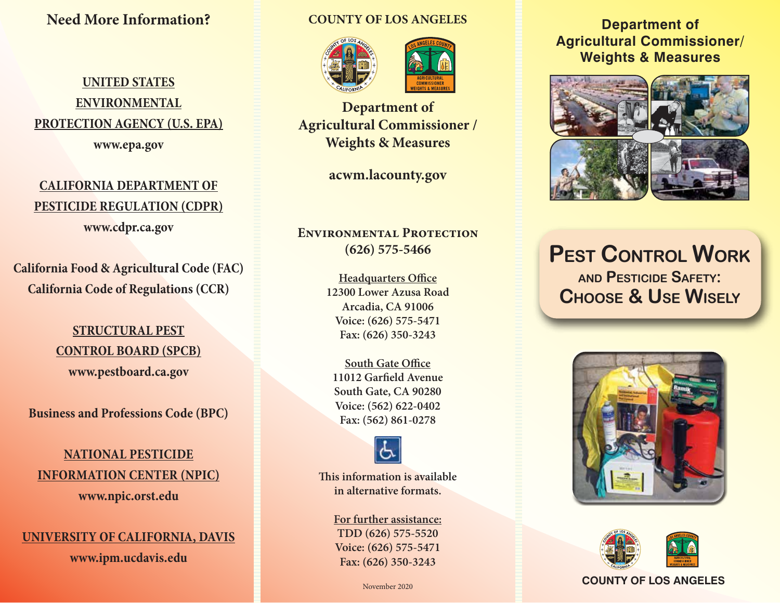## **Need More Information?**

# **UNITED STATES ENVIRONMENTAL PROTECTION AGENCY (U.S. EPA)**

**www.epa.gov**

# **CALIFORNIA DEPARTMENT OF PESTICIDE REGULATION (CDPR) www.cdpr.ca.gov**

**California Food & Agricultural Code (FAC) California Code of Regulations (CCR)**

## **STRUCTURAL PEST CONTROL BOARD (SPCB) www.pestboard.ca.gov**

**Business and Professions Code (BPC)**

## **NATIONAL PESTICIDE INFORMATION CENTER (NPIC) www.npic.orst.edu**

#### **UNIVERSITY OF CALIFORNIA, DAVIS**

**www.ipm.ucdavis.edu**

#### **COUNTY OF LOS ANGELES**





**Department of Agricultural Commissioner / Weights & Measures**

**acwm.lacounty.gov**

### **Environmental Protection (626) 575-5466**

**Headquarters Office 12300 Lower Azusa Road Arcadia, CA 91006 Voice: (626) 575-5471 Fax: (626) 350-3243**

**South Gate Office 11012 Garfield Avenue South Gate, CA 90280 Voice: (562) 622-0402 Fax: (562) 861-0278**



**This information is available in alternative formats.**

> **For further assistance: TDD (626) 575-5520 Voice: (626) 575-5471 Fax: (626) 350-3243**

> > November 2020

### **Department of Agricultural Commissioner/ Weights & Measures**



# **Pest Control Work and Pesticide Safety: Choose & Use Wisely**





#### **COUNTY OF LOS ANGELES**